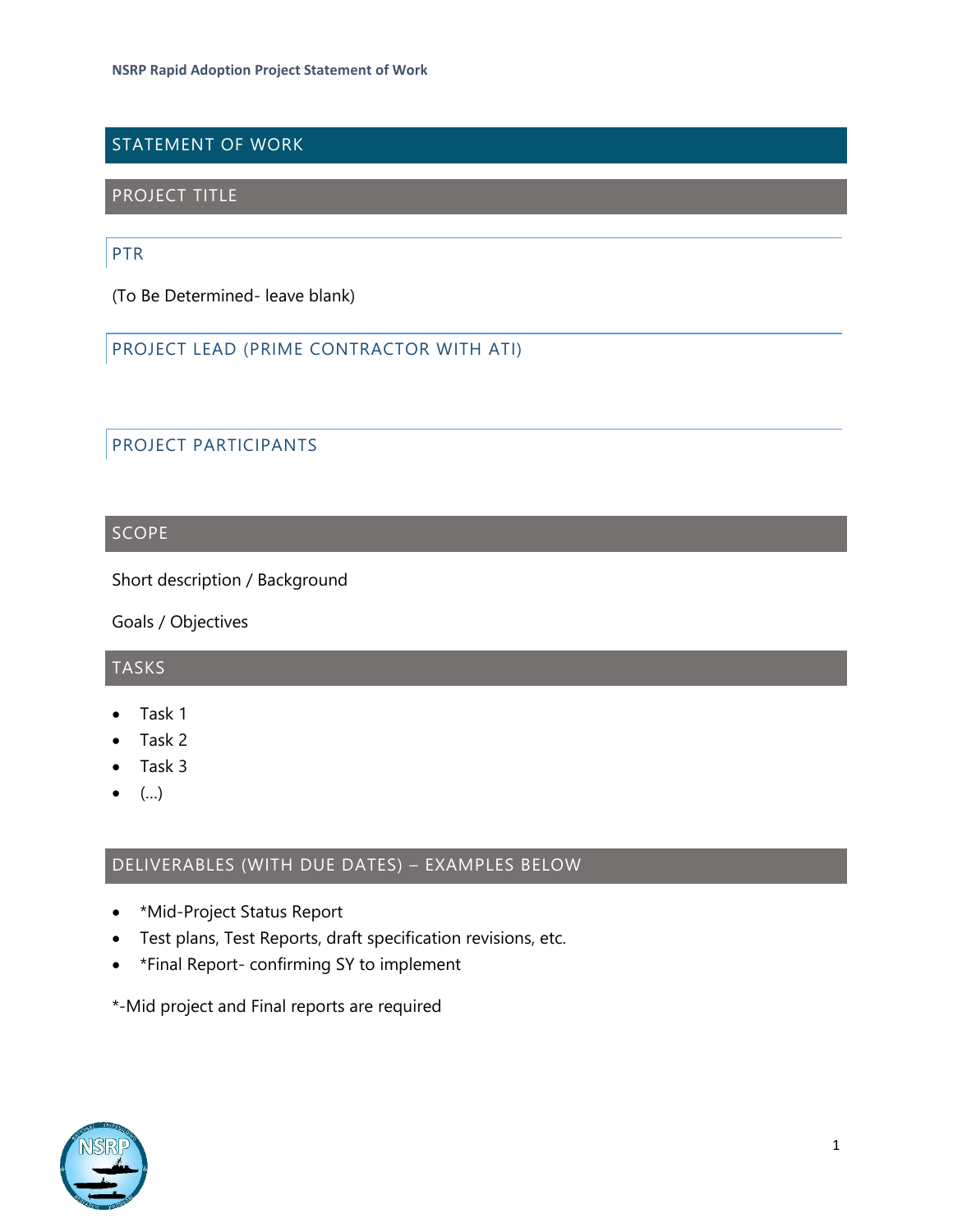## STATEMENT OF WORK

## PROJECT TITLE

### PTR

(To Be Determined- leave blank)

## PROJECT LEAD (PRIME CONTRACTOR WITH ATI)

## PROJECT PARTICIPANTS

#### SCOPE

Short description / Background

Goals / Objectives

## TASKS

- Task 1
- Task 2
- Task 3
- $\left( \ldots \right)$

## DELIVERABLES (WITH DUE DATES) – EXAMPLES BELOW

- \*Mid-Project Status Report
- Test plans, Test Reports, draft specification revisions, etc.
- \*Final Report- confirming SY to implement
- \*-Mid project and Final reports are required